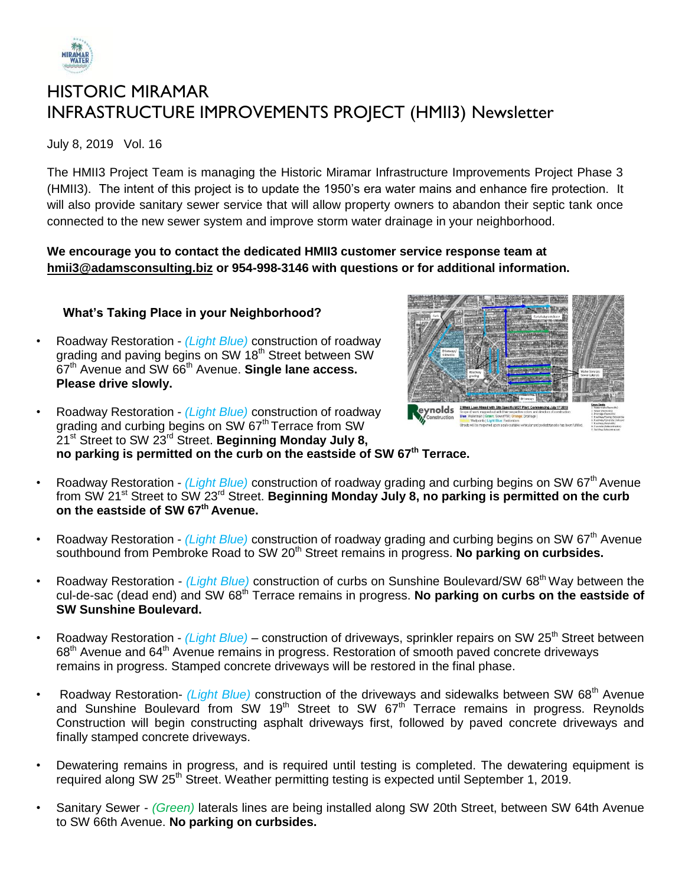

# HISTORIC MIRAMAR INFRASTRUCTURE IMPROVEMENTS PROJECT (HMII3) Newsletter

July 8, 2019 Vol. 16

The HMII3 Project Team is managing the Historic Miramar Infrastructure Improvements Project Phase 3 (HMII3). The intent of this project is to update the 1950's era water mains and enhance fire protection. It will also provide sanitary sewer service that will allow property owners to abandon their septic tank once connected to the new sewer system and improve storm water drainage in your neighborhood.

## **We encourage you to contact the dedicated HMII3 customer service response team at [hmii3@adamsconsulting.biz](mailto:hmii3@adamsconsulting.biz) or 954-998-3146 with questions or for additional information.**

# **What's Taking Place in your Neighborhood?**

- Roadway Restoration *(Light Blue)* construction of roadway grading and paving begins on SW 18<sup>th</sup> Street between SW 67th Avenue and SW 66th Avenue. **Single lane access. Please drive slowly.**
- eynolds
- Roadway Restoration *(Light Blue)* construction of roadway grading and curbing begins on SW 67<sup>th</sup> Terrace from SW 21st Street to SW 23rd Street. **Beginning Monday July 8, no parking is permitted on the curb on the eastside of SW 67th Terrace.**
- Roadway Restoration *(Light Blue)* construction of roadway grading and curbing begins on SW 67<sup>th</sup> Avenue from SW 21st Street to SW 23rd Street. **Beginning Monday July 8, no parking is permitted on the curb on the eastside of SW 67th Avenue.**
- Roadway Restoration *(Light Blue)* construction of roadway grading and curbing begins on SW 67<sup>th</sup> Avenue southbound from Pembroke Road to SW 20<sup>th</sup> Street remains in progress. No parking on curbsides.
- Roadway Restoration *(Light Blue)* construction of curbs on Sunshine Boulevard/SW 68<sup>th</sup> Way between the cul-de-sac (dead end) and SW 68th Terrace remains in progress. **No parking on curbs on the eastside of SW Sunshine Boulevard.**
- Roadway Restoration *(Light Blue)* construction of driveways, sprinkler repairs on SW 25<sup>th</sup> Street between 68<sup>th</sup> Avenue and 64<sup>th</sup> Avenue remains in progress. Restoration of smooth paved concrete driveways remains in progress. Stamped concrete driveways will be restored in the final phase.
- Roadway Restoration- *(Light Blue)* construction of the driveways and sidewalks between SW 68<sup>th</sup> Avenue and Sunshine Boulevard from  $SW$  19<sup>th</sup> Street to SW 67<sup>th</sup> Terrace remains in progress. Reynolds Construction will begin constructing asphalt driveways first, followed by paved concrete driveways and finally stamped concrete driveways.
- Dewatering remains in progress, and is required until testing is completed. The dewatering equipment is required along SW 25<sup>th</sup> Street. Weather permitting testing is expected until September 1, 2019.
- Sanitary Sewer *- (Green)* laterals lines are being installed along SW 20th Street, between SW 64th Avenue to SW 66th Avenue. **No parking on curbsides.**